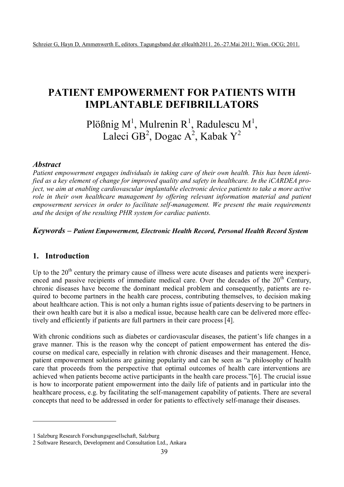# **PATIENT EMPOWERMENT FOR PATIENTS WITH IMPLANTABLE DEFIBRILLATORS**

<span id="page-0-1"></span><span id="page-0-0"></span>Plößnig M<sup>[1](#page-0-0)</sup>, Mulrenin R<sup>1</sup>, Radulescu M<sup>1</sup>, Laleci GB<sup>[2](#page-0-1)</sup>, Dogac A<sup>2</sup>, Kabak Y<sup>2</sup>

## *Abstract*

*Patient empowerment engages individuals in taking care of their own health. This has been identified as a key element of change for improved quality and safety in healthcare. In the iCARDEA project, we aim at enabling cardiovascular implantable electronic device patients to take a more active role in their own healthcare management by offering relevant information material and patient empowerment services in order to facilitate self-management. We present the main requirements and the design of the resulting PHR system for cardiac patients.* 

## *Keywords – Patient Empowerment, Electronic Health Record, Personal Health Record System*

# **1. Introduction**

 $\overline{a}$ 

Up to the  $20<sup>th</sup>$  century the primary cause of illness were acute diseases and patients were inexperienced and passive recipients of immediate medical care. Over the decades of the  $20<sup>th</sup>$  Century, chronic diseases have become the dominant medical problem and consequently, patients are required to become partners in the health care process, contributing themselves, to decision making about healthcare action. This is not only a human rights issue of patients deserving to be partners in their own health care but it is also a medical issue, because health care can be delivered more effectively and efficiently if patients are full partners in their care process [4].

With chronic conditions such as diabetes or cardiovascular diseases, the patient's life changes in a grave manner. This is the reason why the concept of patient empowerment has entered the discourse on medical care, especially in relation with chronic diseases and their management. Hence, patient empowerment solutions are gaining popularity and can be seen as "a philosophy of health care that proceeds from the perspective that optimal outcomes of health care interventions are achieved when patients become active participants in the health care process.‖[6]. The crucial issue is how to incorporate patient empowerment into the daily life of patients and in particular into the healthcare process, e.g. by facilitating the self-management capability of patients. There are several concepts that need to be addressed in order for patients to effectively self-manage their diseases.

<sup>1</sup> Salzburg Research Forschungsgesellschaft, Salzburg

<sup>2</sup> Software Research, Development and Consultation Ltd., Ankara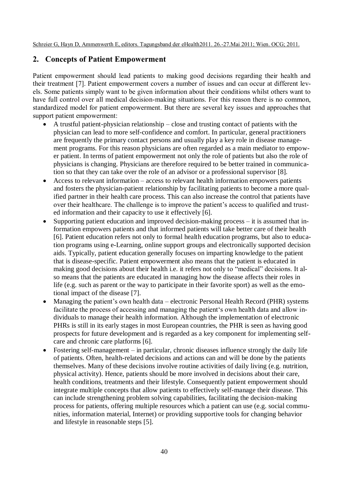# **2. Concepts of Patient Empowerment**

Patient empowerment should lead patients to making good decisions regarding their health and their treatment [7]. Patient empowerment covers a number of issues and can occur at different levels. Some patients simply want to be given information about their conditions whilst others want to have full control over all medical decision-making situations. For this reason there is no common, standardized model for patient empowerment. But there are several key issues and approaches that support patient empowerment:

- A trustful patient-physician relationship close and trusting contact of patients with the physician can lead to more self-confidence and comfort. In particular, general practitioners are frequently the primary contact persons and usually play a key role in disease management programs. For this reason physicians are often regarded as a main mediator to empower patient. In terms of patient empowerment not only the role of patients but also the role of physicians is changing. Physicians are therefore required to be better trained in communication so that they can take over the role of an advisor or a professional supervisor [8].
- Access to relevant information access to relevant health information empowers patients and fosters the physician-patient relationship by facilitating patients to become a more qualified partner in their health care process. This can also increase the control that patients have over their healthcare. The challenge is to improve the patient's access to qualified and trusted information and their capacity to use it effectively [6].
- Supporting patient education and improved decision-making process it is assumed that information empowers patients and that informed patients will take better care of their health [6]. Patient education refers not only to formal health education programs, but also to education programs using e-Learning, online support groups and electronically supported decision aids. Typically, patient education generally focuses on imparting knowledge to the patient that is disease-specific. Patient empowerment also means that the patient is educated in making good decisions about their health i.e. it refers not only to "medical" decisions. It also means that the patients are educated in managing how the disease affects their roles in life (e.g. such as parent or the way to participate in their favorite sport) as well as the emotional impact of the disease [7].
- Managing the patient's own health data electronic Personal Health Record (PHR) systems facilitate the process of accessing and managing the patient's own health data and allow individuals to manage their health information. Although the implementation of electronic PHRs is still in its early stages in most European countries, the PHR is seen as having good prospects for future development and is regarded as a key component for implementing selfcare and chronic care platforms [6].
- Fostering self-management in particular, chronic diseases influence strongly the daily life of patients. Often, health-related decisions and actions can and will be done by the patients themselves. Many of these decisions involve routine activities of daily living (e.g. nutrition, physical activity). Hence, patients should be more involved in decisions about their care, health conditions, treatments and their lifestyle. Consequently patient empowerment should integrate multiple concepts that allow patients to effectively self-manage their disease. This can include strengthening problem solving capabilities, facilitating the decision-making process for patients, offering multiple resources which a patient can use (e.g. social communities, information material, Internet) or providing supportive tools for changing behavior and lifestyle in reasonable steps [5].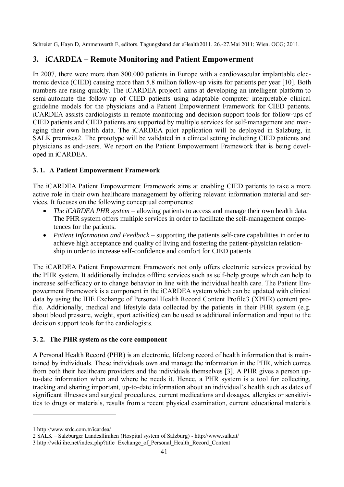# **3. iCARDEA – Remote Monitoring and Patient Empowerment**

In 2007, there were more than 800.000 patients in Europe with a cardiovascular implantable electronic device (CIED) causing more than 5.8 million follow-up visits for patients per year [10]. Both numbers are rising quickly. The iCARDEA project1 aims at developing an intelligent platform to semi-automate the follow-up of CIED patients using adaptable computer interpretable clinical guideline models for the physicians and a Patient Empowerment Framework for CIED patients. iCARDEA assists cardiologists in remote monitoring and decision support tools for follow-ups of CIED patients and CIED patients are supported by multiple services for self-management and managing their own health data. The iCARDEA pilot application will be deployed in Salzburg, in SALK premises2. The prototype will be validated in a clinical setting including CIED patients and physicians as end-users. We report on the Patient Empowerment Framework that is being developed in iCARDEA.

## **3. 1. A Patient Empowerment Framework**

The iCARDEA Patient Empowerment Framework aims at enabling CIED patients to take a more active role in their own healthcare management by offering relevant information material and services. It focuses on the following conceptual components:

- *The iCARDEA PHR system* allowing patients to access and manage their own health data. The PHR system offers multiple services in order to facilitate the self-management competences for the patients.
- *Patient Information and Feedback* supporting the patients self-care capabilities in order to achieve high acceptance and quality of living and fostering the patient-physician relationship in order to increase self-confidence and comfort for CIED patients

The iCARDEA Patient Empowerment Framework not only offers electronic services provided by the PHR system. It additionally includes offline services such as self-help groups which can help to increase self-efficacy or to change behavior in line with the individual health care. The Patient Empowerment Framework is a component in the iCARDEA system which can be updated with clinical data by using the IHE Exchange of Personal Health Record Content Profile3 (XPHR) content profile. Additionally, medical and lifestyle data collected by the patients in their PHR system (e.g. about blood pressure, weight, sport activities) can be used as additional information and input to the decision support tools for the cardiologists.

#### **3. 2. The PHR system as the core component**

A Personal Health Record (PHR) is an electronic, lifelong record of health information that is maintained by individuals. These individuals own and manage the information in the PHR, which comes from both their healthcare providers and the individuals themselves [3]. A PHR gives a person upto-date information when and where he needs it. Hence, a PHR system is a tool for collecting, tracking and sharing important, up-to-date information about an individual's health such as dates of significant illnesses and surgical procedures, current medications and dosages, allergies or sensitivities to drugs or materials, results from a recent physical examination, current educational materials

 $\overline{a}$ 

<sup>1</sup> http://www.srdc.com.tr/icardea/

<sup>2</sup> SALK – Salzburger Landeslliniken (Hospital system of Salzburg) - <http://www.salk.at/>

<sup>3</sup> http://wiki.ihe.net/index.php?title=Exchange\_of\_Personal\_Health\_Record\_Content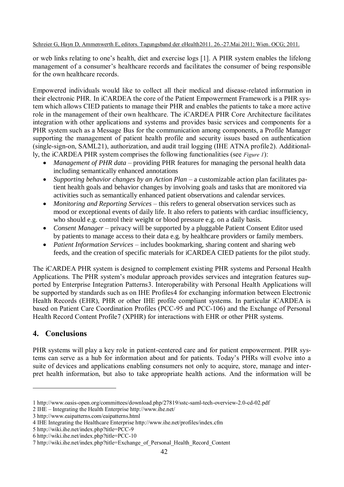#### Schreier G, Hayn D, Ammenwerth E, editors. Tagungsband der eHealth2011. 26.-27.Mai 2011; Wien. OCG; 2011.

or web links relating to one's health, diet and exercise logs [1]. A PHR system enables the lifelong management of a consumer's healthcare records and facilitates the consumer of being responsible for the own healthcare records.

Empowered individuals would like to collect all their medical and disease-related information in their electronic PHR. In iCARDEA the core of the Patient Empowerment Framework is a PHR system which allows CIED patients to manage their PHR and enables the patients to take a more active role in the management of their own healthcare. The iCARDEA PHR Core Architecture facilitates integration with other applications and systems and provides basic services and components for a PHR system such as a Message Bus for the communication among components, a Profile Manager supporting the management of patient health profile and security issues based on authentication (single-sign-on, SAML21), authorization, and audit trail logging (IHE ATNA profile2). Additionally, the iCARDEA PHR system comprises the following functionalities (see *Figure 1*):

- *Management of PHR data* providing PHR features for managing the personal health data including semantically enhanced annotations
- *Supporting behavior changes by an Action Plan* a customizable action plan facilitates patient health goals and behavior changes by involving goals and tasks that are monitored via activities such as semantically enhanced patient observations and calendar services.
- *Monitoring and Reporting Services* this refers to general observation services such as mood or exceptional events of daily life. It also refers to patients with cardiac insufficiency, who should e.g. control their weight or blood pressure e.g. on a daily basis.
- *Consent Manager* privacy will be supported by a pluggable Patient Consent Editor used by patients to manage access to their data e.g. by healthcare providers or family members.
- *Patient Information Services* includes bookmarking, sharing content and sharing web feeds, and the creation of specific materials for iCARDEA CIED patients for the pilot study.

The iCARDEA PHR system is designed to complement existing PHR systems and Personal Health Applications. The PHR system's modular approach provides services and integration features supported by Enterprise Integration Patterns3. Interoperability with Personal Health Applications will be supported by standards such as on IHE Profiles4 for exchanging information between Electronic Health Records (EHR), PHR or other IHE profile compliant systems. In particular iCARDEA is based on Patient Care Coordination Profiles (PCC-95 and PCC-106) and the Exchange of Personal Health Record Content Profile7 (XPHR) for interactions with EHR or other PHR systems.

# **4. Conclusions**

 $\overline{a}$ 

PHR systems will play a key role in patient-centered care and for patient empowerment. PHR systems can serve as a hub for information about and for patients. Today's PHRs will evolve into a suite of devices and applications enabling consumers not only to acquire, store, manage and interpret health information, but also to take appropriate health actions. And the information will be

<sup>1</sup> <http://www.oasis-open.org/committees/download.php/27819/sstc-saml-tech-overview-2.0-cd-02.pdf>

<sup>2</sup> IHE – Integrating the Health Enterpris[e http://www.ihe.net/](http://www.ihe.net/)

<sup>3</sup> <http://www.eaipatterns.com/eaipatterns.html>

<sup>4</sup> IHE Integrating the Healthcare Enterprise http://www.ihe.net/profiles/index.cfm

<sup>5</sup> http://wiki.ihe.net/index.php?title=PCC-9

<sup>6</sup> http://wiki.ihe.net/index.php?title=PCC-10

<sup>7</sup> http://wiki.ihe.net/index.php?title=Exchange\_of\_Personal\_Health\_Record\_Content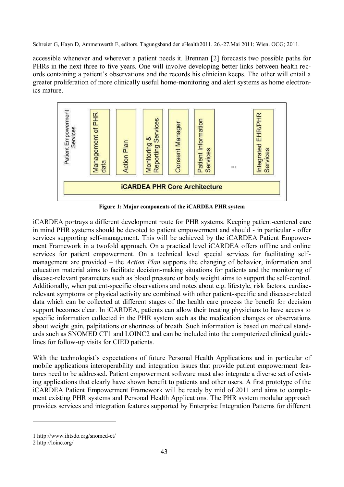Schreier G, Hayn D, Ammenwerth E, editors. Tagungsband der eHealth2011. 26.-27.Mai 2011; Wien. OCG; 2011.

accessible whenever and wherever a patient needs it. Brennan [2] forecasts two possible paths for PHRs in the next three to five years. One will involve developing better links between health records containing a patient's observations and the records his clinician keeps. The other will entail a greater proliferation of more clinically useful home-monitoring and alert systems as home electronics mature.



**Figure 1: Major components of the iCARDEA PHR system**

iCARDEA portrays a different development route for PHR systems. Keeping patient-centered care in mind PHR systems should be devoted to patient empowerment and should - in particular - offer services supporting self-management. This will be achieved by the iCARDEA Patient Empowerment Framework in a twofold approach. On a practical level iCARDEA offers offline and online services for patient empowerment. On a technical level special services for facilitating selfmanagement are provided – the *Action Plan* supports the changing of behavior, information and education material aims to facilitate decision-making situations for patients and the monitoring of disease-relevant parameters such as blood pressure or body weight aims to support the self-control. Additionally, when patient-specific observations and notes about e.g. lifestyle, risk factors, cardiacrelevant symptoms or physical activity are combined with other patient-specific and disease-related data which can be collected at different stages of the health care process the benefit for decision support becomes clear. In iCARDEA, patients can allow their treating physicians to have access to specific information collected in the PHR system such as the medication changes or observations about weight gain, palpitations or shortness of breath. Such information is based on medical standards such as SNOMED CT1 and LOINC2 and can be included into the computerized clinical guidelines for follow-up visits for CIED patients.

With the technologist's expectations of future Personal Health Applications and in particular of mobile applications interoperability and integration issues that provide patient empowerment features need to be addressed. Patient empowerment software must also integrate a diverse set of existing applications that clearly have shown benefit to patients and other users. A first prototype of the iCARDEA Patient Empowerment Framework will be ready by mid of 2011 and aims to complement existing PHR systems and Personal Health Applications. The PHR system modular approach provides services and integration features supported by Enterprise Integration Patterns for different

 $\overline{a}$ 

<sup>1</sup> http://www.ihtsdo.org/snomed-ct/

<sup>2</sup> http://loinc.org/